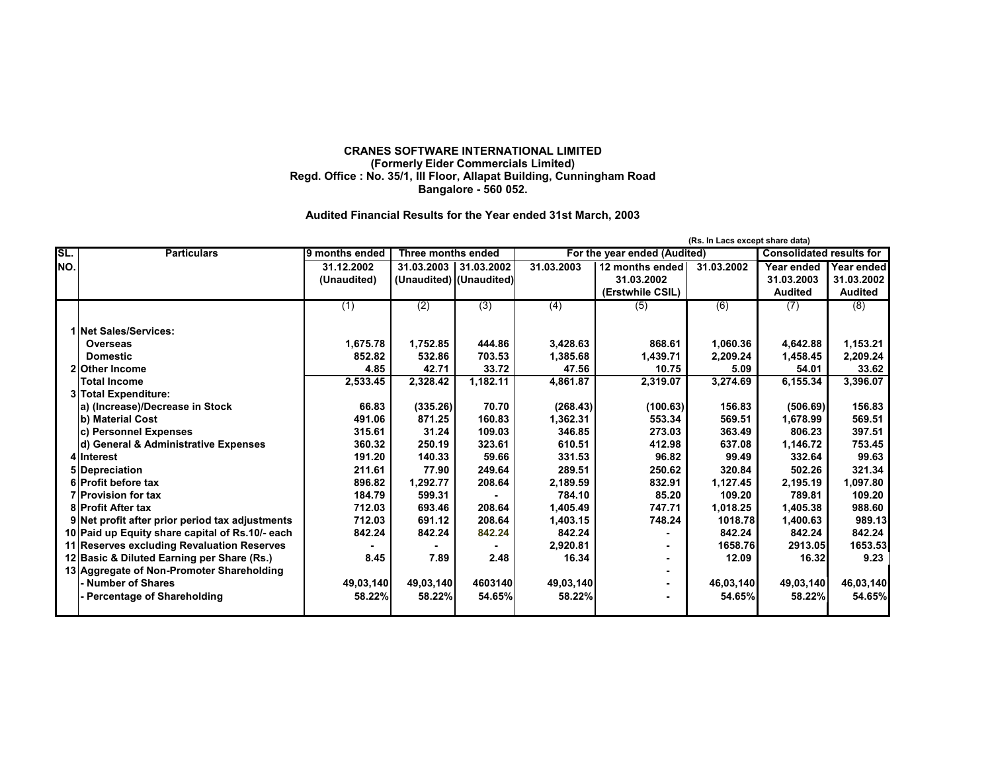## **CRANES SOFTWARE INTERNATIONAL LIMITED (Formerly Eider Commercials Limited) Regd. Office : No. 35/1, III Floor, Allapat Building, Cunningham Road Bangalore - 560 052.**

## **Audited Financial Results for the Year ended 31st March, 2003**

|     | (Rs. In Lacs except share data)                 |                |                           |                         |                              |                  |            |                                 |                |
|-----|-------------------------------------------------|----------------|---------------------------|-------------------------|------------------------------|------------------|------------|---------------------------------|----------------|
| SL. | <b>Particulars</b>                              | 9 months ended | <b>Three months ended</b> |                         | For the year ended (Audited) |                  |            | <b>Consolidated results for</b> |                |
| NO. |                                                 | 31.12.2002     | 31.03.2003                | 31.03.2002              | 31.03.2003                   | 12 months ended  | 31.03.2002 | Year ended                      | Year ended     |
|     |                                                 | (Unaudited)    |                           | (Unaudited) (Unaudited) |                              | 31.03.2002       |            | 31.03.2003                      | 31.03.2002     |
|     |                                                 |                |                           |                         |                              | (Erstwhile CSIL) |            | <b>Audited</b>                  | <b>Audited</b> |
|     |                                                 | (1)            | (2)                       | (3)                     | $\overline{(4)}$             | (5)              | (6)        | (7)                             | (8)            |
|     | 1 Net Sales/Services:                           |                |                           |                         |                              |                  |            |                                 |                |
|     | <b>Overseas</b>                                 | 1,675.78       | 1,752.85                  | 444.86                  | 3,428.63                     | 868.61           | 1,060.36   | 4,642.88                        | 1,153.21       |
|     | <b>Domestic</b>                                 | 852.82         | 532.86                    | 703.53                  | 1,385.68                     | 1,439.71         | 2,209.24   | 1,458.45                        | 2,209.24       |
|     | 21 Other Income                                 | 4.85           | 42.71                     | 33.72                   | 47.56                        | 10.75            | 5.09       | 54.01                           | 33.62          |
|     | <b>Total Income</b>                             | 2,533.45       | 2,328.42                  | 1,182.11                | 4,861.87                     | 2,319.07         | 3,274.69   | 6,155.34                        | 3,396.07       |
|     | 3 Total Expenditure:                            |                |                           |                         |                              |                  |            |                                 |                |
|     | a) (Increase)/Decrease in Stock                 | 66.83          | (335.26)                  | 70.70                   | (268.43)                     | (100.63)         | 156.83     | (506.69)                        | 156.83         |
|     | b) Material Cost                                | 491.06         | 871.25                    | 160.83                  | 1,362.31                     | 553.34           | 569.51     | 1,678.99                        | 569.51         |
|     | c) Personnel Expenses                           | 315.61         | 31.24                     | 109.03                  | 346.85                       | 273.03           | 363.49     | 806.23                          | 397.51         |
|     | d) General & Administrative Expenses            | 360.32         | 250.19                    | 323.61                  | 610.51                       | 412.98           | 637.08     | 1,146.72                        | 753.45         |
|     | 4 Interest                                      | 191.20         | 140.33                    | 59.66                   | 331.53                       | 96.82            | 99.49      | 332.64                          | 99.63          |
|     | 5 Depreciation                                  | 211.61         | 77.90                     | 249.64                  | 289.51                       | 250.62           | 320.84     | 502.26                          | 321.34         |
|     | 6 Profit before tax                             | 896.82         | 1,292.77                  | 208.64                  | 2,189.59                     | 832.91           | 1,127.45   | 2,195.19                        | 1,097.80       |
|     | <b>7</b> Provision for tax                      | 184.79         | 599.31                    |                         | 784.10                       | 85.20            | 109.20     | 789.81                          | 109.20         |
|     | 8 Profit After tax                              | 712.03         | 693.46                    | 208.64                  | 1.405.49                     | 747.71           | 1.018.25   | 1,405.38                        | 988.60         |
|     | 9 Net profit after prior period tax adjustments | 712.03         | 691.12                    | 208.64                  | 1,403.15                     | 748.24           | 1018.78    | 1,400.63                        | 989.13         |
|     | 10 Paid up Equity share capital of Rs.10/- each | 842.24         | 842.24                    | 842.24                  | 842.24                       |                  | 842.24     | 842.24                          | 842.24         |
|     | 11 Reserves excluding Revaluation Reserves      |                |                           |                         | 2,920.81                     |                  | 1658.76    | 2913.05                         | 1653.53        |
|     | 12 Basic & Diluted Earning per Share (Rs.)      | 8.45           | 7.89                      | 2.48                    | 16.34                        |                  | 12.09      | 16.32                           | 9.23           |
|     | 13 Aggregate of Non-Promoter Shareholding       |                |                           |                         |                              |                  |            |                                 |                |
|     | Number of Shares                                | 49,03,140      | 49,03,140                 | 4603140                 | 49,03,140                    |                  | 46,03,140  | 49,03,140                       | 46,03,140      |
|     | - Percentage of Shareholding                    | 58.22%         | 58.22%                    | 54.65%                  | 58.22%                       |                  | 54.65%     | 58.22%                          | 54.65%         |
|     |                                                 |                |                           |                         |                              |                  |            |                                 |                |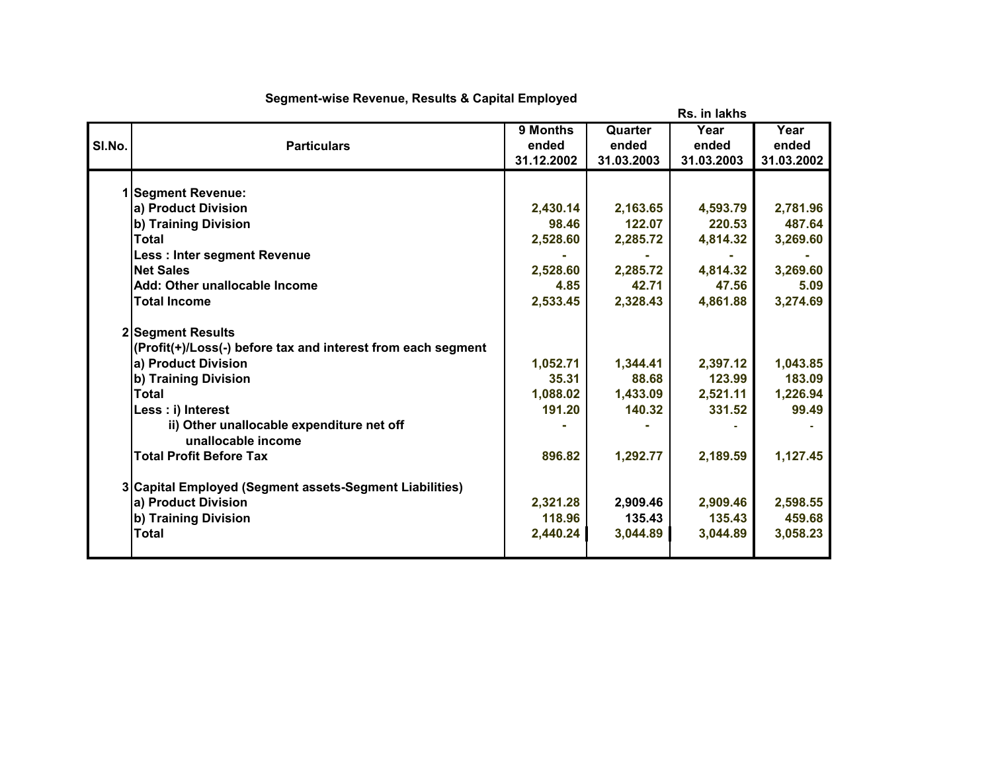|        |                                                                                   |            |            | Rs. in lakhs |            |
|--------|-----------------------------------------------------------------------------------|------------|------------|--------------|------------|
|        |                                                                                   | 9 Months   | Quarter    | Year         | Year       |
| SI.No. | <b>Particulars</b>                                                                | ended      | ended      | ended        | ended      |
|        |                                                                                   | 31.12.2002 | 31.03.2003 | 31.03.2003   | 31.03.2002 |
|        | 1 Segment Revenue:                                                                |            |            |              |            |
|        | a) Product Division                                                               | 2,430.14   | 2,163.65   | 4,593.79     | 2,781.96   |
|        | b) Training Division                                                              | 98.46      | 122.07     | 220.53       | 487.64     |
|        | <b>Total</b>                                                                      | 2,528.60   | 2,285.72   | 4,814.32     | 3,269.60   |
|        | <b>Less: Inter segment Revenue</b>                                                |            |            |              |            |
|        | <b>Net Sales</b>                                                                  | 2,528.60   | 2,285.72   | 4,814.32     | 3,269.60   |
|        | Add: Other unallocable Income                                                     | 4.85       | 42.71      | 47.56        | 5.09       |
|        | <b>Total Income</b>                                                               | 2,533.45   | 2,328.43   | 4,861.88     | 3,274.69   |
|        | 2 Segment Results<br>(Profit(+)/Loss(-) before tax and interest from each segment |            |            |              |            |
|        | a) Product Division                                                               | 1,052.71   | 1,344.41   | 2,397.12     | 1,043.85   |
|        | b) Training Division                                                              | 35.31      | 88.68      | 123.99       | 183.09     |
|        | <b>Total</b>                                                                      | 1,088.02   | 1,433.09   | 2,521.11     | 1,226.94   |
|        | Less : i) Interest                                                                | 191.20     | 140.32     | 331.52       | 99.49      |
|        | ii) Other unallocable expenditure net off<br>unallocable income                   |            |            |              |            |
|        | <b>Total Profit Before Tax</b>                                                    | 896.82     | 1,292.77   | 2,189.59     | 1,127.45   |
|        | 3 Capital Employed (Segment assets-Segment Liabilities)                           |            |            |              |            |
|        | a) Product Division                                                               | 2,321.28   | 2,909.46   | 2,909.46     | 2,598.55   |
|        | b) Training Division                                                              | 118.96     | 135.43     | 135.43       | 459.68     |
|        | <b>Total</b>                                                                      | 2,440.24   | 3,044.89   | 3,044.89     | 3,058.23   |
|        |                                                                                   |            |            |              |            |

## **Segment-wise Revenue, Results & Capital Employed**